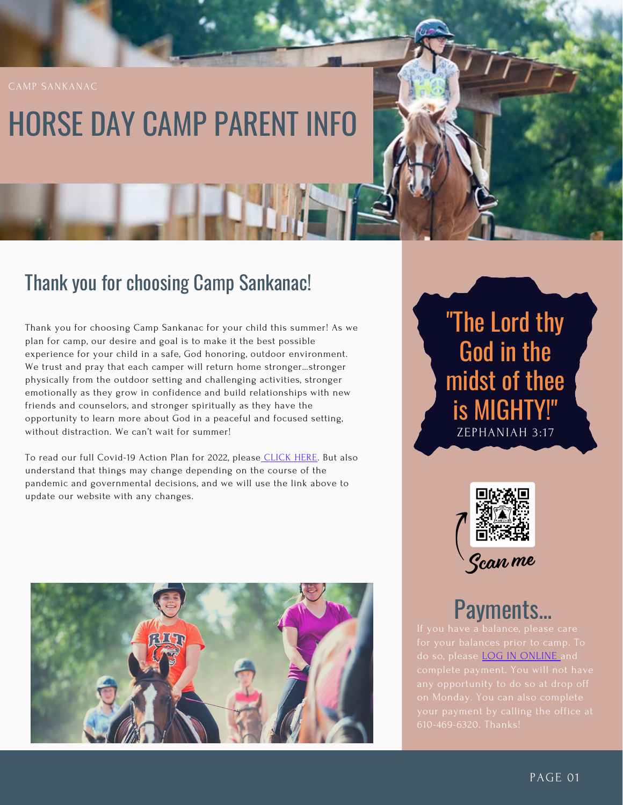# HORSE DAY CAMP PARENT INFO

### Thank you for choosing Camp Sankanac!

Thank you for choosing Camp Sankanac for your child this summer! As we plan for camp, our desire and goal is to make it the best possible experience for your child in a safe, God honoring, outdoor environment. We trust and pray that each camper will return home stronger…stronger physically from the outdoor setting and challenging activities, stronger emotionally as they grow in confidence and build relationships with new friends and counselors, and stronger spiritually as they have the opportunity to learn more about God in a peaceful and focused setting, without distraction. We can't wait for summer!

To read our full Covid-19 Action Plan for 2022, please [CLICK](https://campsankanac.org/covid-19/) HERE. But also understand that things may change depending on the course of the pandemic and governmental decisions, and we will use the link above to update our website with any changes.



"The Lord thy God in the midst of thee is MIGHTY!" ZEPHANIAH 3:17



### Payments...

do so, please **LOG IN [ONLINE](https://campsankanac.org/accounts/)** and